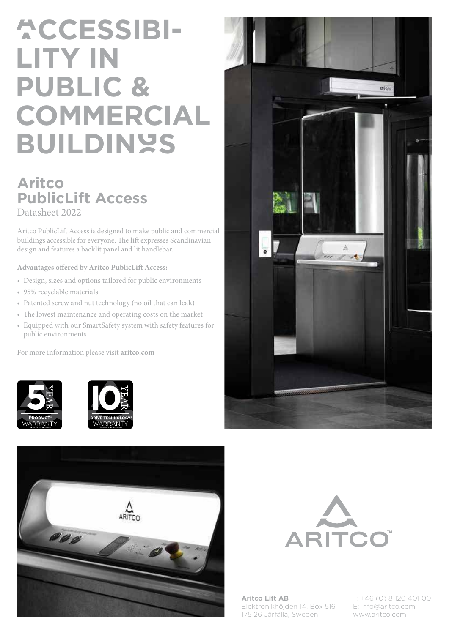## **ACCESSIBI-LITY IN PUBLIC & COMMERCIAL BUILDINGS**

## **Aritco PublicLift Access** Datasheet 2022

Aritco PublicLift Access is designed to make public and commercial buildings accessible for everyone. The lift expresses Scandinavian design and features a backlit panel and lit handlebar.

**Advantages offered by Aritco PublicLift Access:**

- Design, sizes and options tailored for public environments
- 95% recyclable materials
- Patented screw and nut technology (no oil that can leak)
- The lowest maintenance and operating costs on the market
- Equipped with our SmartSafety system with safety features for public environments

For more information please visit **aritco.com**











**Aritco Lift AB** Elektronikhöjden 14, Box 516 175 26 Järfälla, Sweden

T: +46 (0) 8 120 401 00 E: info@aritco.com www.aritco.com